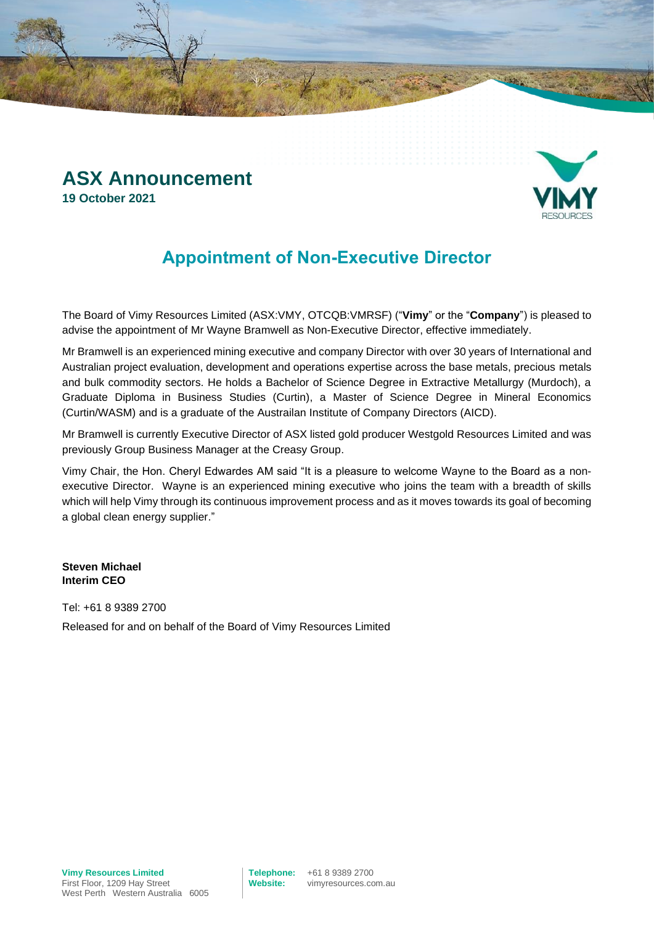### **ASX Announcement 19 October 2021**



## **Appointment of Non-Executive Director**

The Board of Vimy Resources Limited (ASX:VMY, OTCQB:VMRSF) ("**Vimy**" or the "**Company**") is pleased to advise the appointment of Mr Wayne Bramwell as Non-Executive Director, effective immediately.

Mr Bramwell is an experienced mining executive and company Director with over 30 years of International and Australian project evaluation, development and operations expertise across the base metals, precious metals and bulk commodity sectors. He holds a Bachelor of Science Degree in Extractive Metallurgy (Murdoch), a Graduate Diploma in Business Studies (Curtin), a Master of Science Degree in Mineral Economics (Curtin/WASM) and is a graduate of the Austrailan Institute of Company Directors (AICD).

Mr Bramwell is currently Executive Director of ASX listed gold producer Westgold Resources Limited and was previously Group Business Manager at the Creasy Group.

Vimy Chair, the Hon. Cheryl Edwardes AM said "It is a pleasure to welcome Wayne to the Board as a nonexecutive Director. Wayne is an experienced mining executive who joins the team with a breadth of skills which will help Vimy through its continuous improvement process and as it moves towards its goal of becoming a global clean energy supplier."

**Steven Michael Interim CEO**

Tel: +61 8 9389 2700 Released for and on behalf of the Board of Vimy Resources Limited